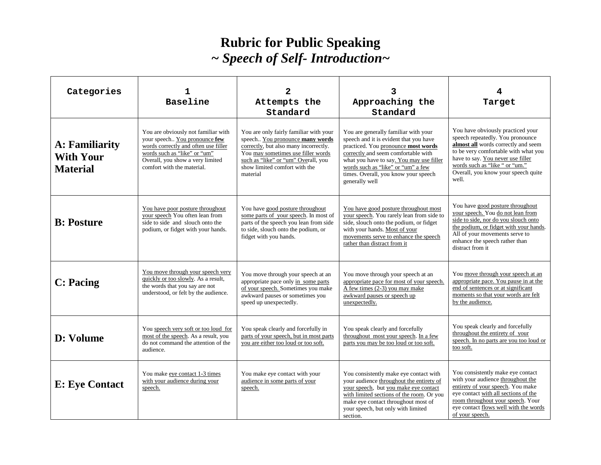## **Rubric for Public Speaking**  *~ Speech of Self- Introduction~*

| Categories                                            | 1<br>Baseline                                                                                                                                                                                                  | $\mathbf{2}$<br>Attempts the<br>Standard                                                                                                                                                                                                     | 3<br>Approaching the<br>Standard                                                                                                                                                                                                                                                                         | 4<br>Target                                                                                                                                                                                                                                                                 |  |
|-------------------------------------------------------|----------------------------------------------------------------------------------------------------------------------------------------------------------------------------------------------------------------|----------------------------------------------------------------------------------------------------------------------------------------------------------------------------------------------------------------------------------------------|----------------------------------------------------------------------------------------------------------------------------------------------------------------------------------------------------------------------------------------------------------------------------------------------------------|-----------------------------------------------------------------------------------------------------------------------------------------------------------------------------------------------------------------------------------------------------------------------------|--|
| A: Familiarity<br><b>With Your</b><br><b>Material</b> | You are obviously not familiar with<br>your speech You pronounce few<br>words correctly and often use filler<br>words such as "like" or "um"<br>Overall, you show a very limited<br>comfort with the material. | You are only fairly familiar with your<br>speech You pronounce many words<br>correctly, but also many incorrectly.<br>You may sometimes use filler words<br>such as "like" or "um" Overall, you<br>show limited comfort with the<br>material | You are generally familiar with your<br>speech and it is evident that you have<br>practiced. You pronounce most words<br>correctly and seem comfortable with<br>what you have to say. You may use filler<br>words such as "like" or "um" a few<br>times. Overall, you know your speech<br>generally well | You have obviously practiced your<br>speech repeatedly. You pronounce<br>almost all words correctly and seem<br>to be very comfortable with what you<br>have to say. You never use filler<br>words such as "like " or "um."<br>Overall, you know your speech quite<br>well. |  |
| <b>B</b> : Posture                                    | You have poor posture throughout<br>your speech You often lean from<br>side to side and slouch onto the<br>podium, or fidget with your hands.                                                                  | You have good posture throughout<br>some parts of your speech. In most of<br>parts of the speech you lean from side<br>to side, slouch onto the podium, or<br>fidget with you hands.                                                         | You have good posture throughout most<br>your speech. You rarely lean from side to<br>side, slouch onto the podium, or fidget<br>with your hands. Most of your<br>movements serve to enhance the speech<br>rather than distract from it                                                                  | You have good posture throughout<br>your speech. You do not lean from<br>side to side, nor do you slouch onto<br>the podium, or fidget with your hands.<br>All of your movements serve to<br>enhance the speech rather than<br>distract from it                             |  |
| <b>C:</b> Pacing                                      | You move through your speech very<br>quickly or too slowly. As a result,<br>the words that you say are not<br>understood, or felt by the audience.                                                             | You move through your speech at an<br>appropriate pace only in some parts<br>of your speech. Sometimes you make<br>awkward pauses or sometimes you<br>speed up unexpectedly.                                                                 | You move through your speech at an<br>appropriate pace for most of your speech.<br>$\overrightarrow{A}$ few times (2-3) you may make<br>awkward pauses or speech up<br>unexpectedly.                                                                                                                     | You move through your speech at an<br>appropriate pace. You pause in at the<br>end of sentences or at significant<br>moments so that your words are felt<br>by the audience.                                                                                                |  |
| D: Volume                                             | You speech very soft or too loud for<br>most of the speech. As a result, you<br>do not command the attention of the<br>audience.                                                                               | You speak clearly and forcefully in<br>parts of your speech, but in most parts<br>you are either too loud or too soft.                                                                                                                       | You speak clearly and forcefully<br>throughout most your speech. In a few<br>parts you may be too loud or too soft.                                                                                                                                                                                      | You speak clearly and forcefully<br>throughout the entirety of your<br>speech. In no parts are you too loud or<br>too soft.                                                                                                                                                 |  |
| <b>E: Eye Contact</b>                                 | You make eye contact 1-3 times<br>with your audience during your<br>speech.                                                                                                                                    | You make eye contact with your<br>audience in some parts of your<br>speech.                                                                                                                                                                  | You consistently make eye contact with<br>your audience throughout the entirety of<br>your speech, but you make eye contact<br>with limited sections of the room. Or you<br>make eye contact throughout most of<br>your speech, but only with limited<br>section.                                        | You consistently make eye contact<br>with your audience throughout the<br>entirety of your speech. You make<br>eye contact with all sections of the<br>room throughout your speech. Your<br>eye contact flows well with the words<br>of your speech.                        |  |